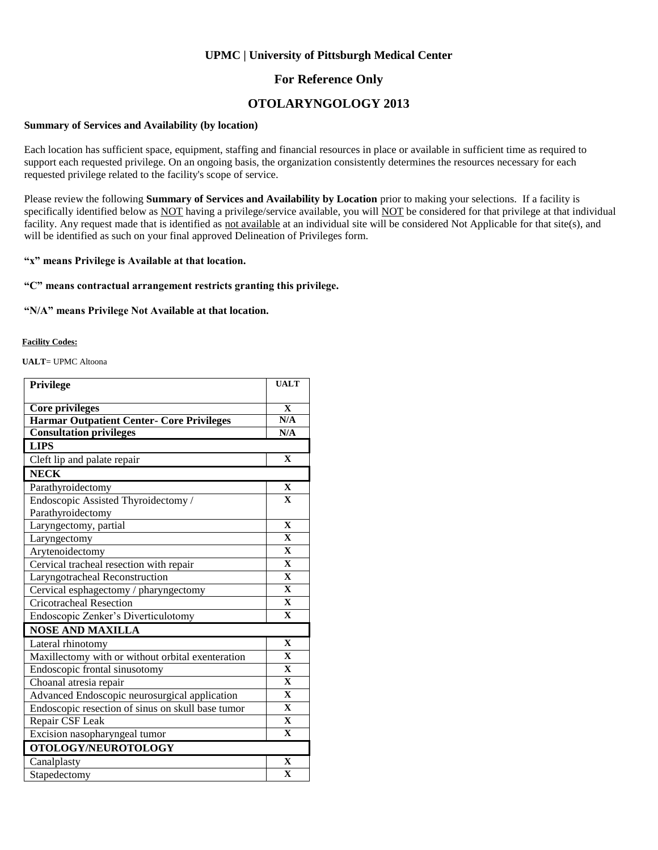### **UPMC | University of Pittsburgh Medical Center**

### **For Reference Only**

### **OTOLARYNGOLOGY 2013**

#### **Summary of Services and Availability (by location)**

Each location has sufficient space, equipment, staffing and financial resources in place or available in sufficient time as required to support each requested privilege. On an ongoing basis, the organization consistently determines the resources necessary for each requested privilege related to the facility's scope of service.

Please review the following **Summary of Services and Availability by Location** prior to making your selections. If a facility is specifically identified below as NOT having a privilege/service available, you will NOT be considered for that privilege at that individual facility. Any request made that is identified as not available at an individual site will be considered Not Applicable for that site(s), and will be identified as such on your final approved Delineation of Privileges form.

#### **"x" means Privilege is Available at that location.**

#### **"C" means contractual arrangement restricts granting this privilege.**

#### **"N/A" means Privilege Not Available at that location.**

#### **Facility Codes:**

**UALT**= UPMC Altoona

| Privilege                                         | <b>UALT</b>             |  |
|---------------------------------------------------|-------------------------|--|
|                                                   |                         |  |
| <b>Core privileges</b>                            | $\mathbf{X}$            |  |
| <b>Harmar Outpatient Center- Core Privileges</b>  | N/A                     |  |
| <b>Consultation privileges</b>                    | N/A                     |  |
| <b>LIPS</b>                                       |                         |  |
| Cleft lip and palate repair                       | $\mathbf{X}$            |  |
| <b>NECK</b>                                       |                         |  |
| Parathyroidectomy                                 | $\mathbf X$             |  |
| Endoscopic Assisted Thyroidectomy /               | $\mathbf{X}$            |  |
| Parathyroidectomy                                 |                         |  |
| Laryngectomy, partial                             | $\mathbf{X}$            |  |
| Laryngectomy                                      | $\mathbf{X}$            |  |
| Arytenoidectomy                                   | $\mathbf X$             |  |
| Cervical tracheal resection with repair           | $\overline{\mathbf{X}}$ |  |
| Laryngotracheal Reconstruction                    | $\mathbf X$             |  |
| Cervical esphagectomy / pharyngectomy             | $\mathbf{X}$            |  |
| <b>Cricotracheal Resection</b>                    | $\mathbf{X}$            |  |
| Endoscopic Zenker's Diverticulotomy               | $\mathbf{X}$            |  |
| <b>NOSE AND MAXILLA</b>                           |                         |  |
| Lateral rhinotomy                                 | $\mathbf X$             |  |
| Maxillectomy with or without orbital exenteration | $\mathbf{X}$            |  |
| Endoscopic frontal sinusotomy                     | $\mathbf{X}$            |  |
| Choanal atresia repair                            | $\mathbf{X}$            |  |
| Advanced Endoscopic neurosurgical application     | $\mathbf{X}$            |  |
| Endoscopic resection of sinus on skull base tumor | $\mathbf{X}$            |  |
| Repair CSF Leak                                   | $\mathbf{X}$            |  |
| Excision nasopharyngeal tumor                     | $\overline{\mathbf{X}}$ |  |
| OTOLOGY/NEUROTOLOGY                               |                         |  |
| Canalplasty                                       | $\overline{\mathbf{X}}$ |  |
| Stapedectomy                                      | $\mathbf{X}$            |  |